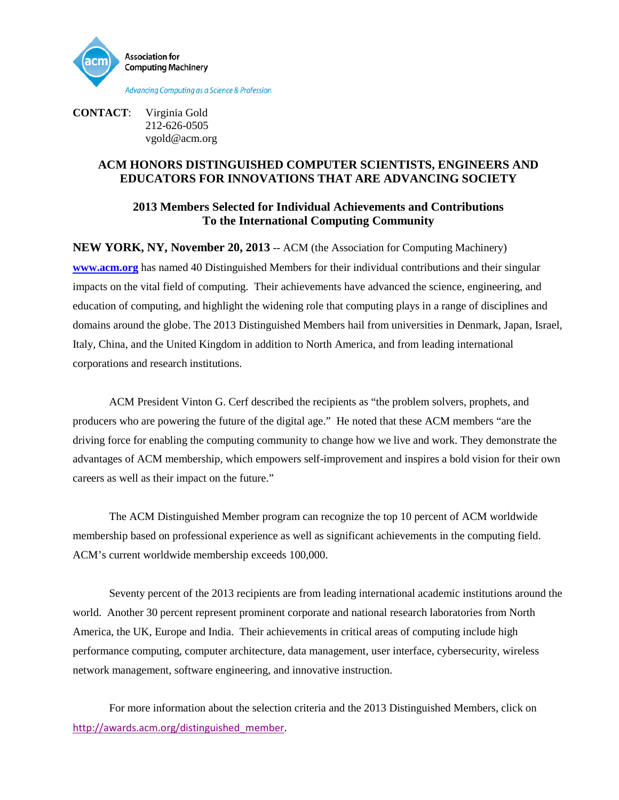

**CONTACT**: Virginia Gold 212-626-0505 vgold@acm.org

## **ACM HONORS DISTINGUISHED COMPUTER SCIENTISTS, ENGINEERS AND EDUCATORS FOR INNOVATIONS THAT ARE ADVANCING SOCIETY**

## **2013 Members Selected for Individual Achievements and Contributions To the International Computing Community**

**NEW YORK, NY, November 20, 2013** -- ACM (the Association for Computing Machinery) **[www.acm.org](http://www.acm.org/)** has named 40 Distinguished Members for their individual contributions and their singular impacts on the vital field of computing. Their achievements have advanced the science, engineering, and education of computing, and highlight the widening role that computing plays in a range of disciplines and domains around the globe. The 2013 Distinguished Members hail from universities in Denmark, Japan, Israel, Italy, China, and the United Kingdom in addition to North America, and from leading international corporations and research institutions.

ACM President Vinton G. Cerf described the recipients as "the problem solvers, prophets, and producers who are powering the future of the digital age." He noted that these ACM members "are the driving force for enabling the computing community to change how we live and work. They demonstrate the advantages of ACM membership, which empowers self-improvement and inspires a bold vision for their own careers as well as their impact on the future."

The ACM Distinguished Member program can recognize the top 10 percent of ACM worldwide membership based on professional experience as well as significant achievements in the computing field. ACM's current worldwide membership exceeds 100,000.

Seventy percent of the 2013 recipients are from leading international academic institutions around the world. Another 30 percent represent prominent corporate and national research laboratories from North America, the UK, Europe and India. Their achievements in critical areas of computing include high performance computing, computer architecture, data management, user interface, cybersecurity, wireless network management, software engineering, and innovative instruction.

For more information about the selection criteria and the 2013 Distinguished Members, click on [http://awards.acm.org/distinguished\\_member](http://awards.acm.org/distinguished_member).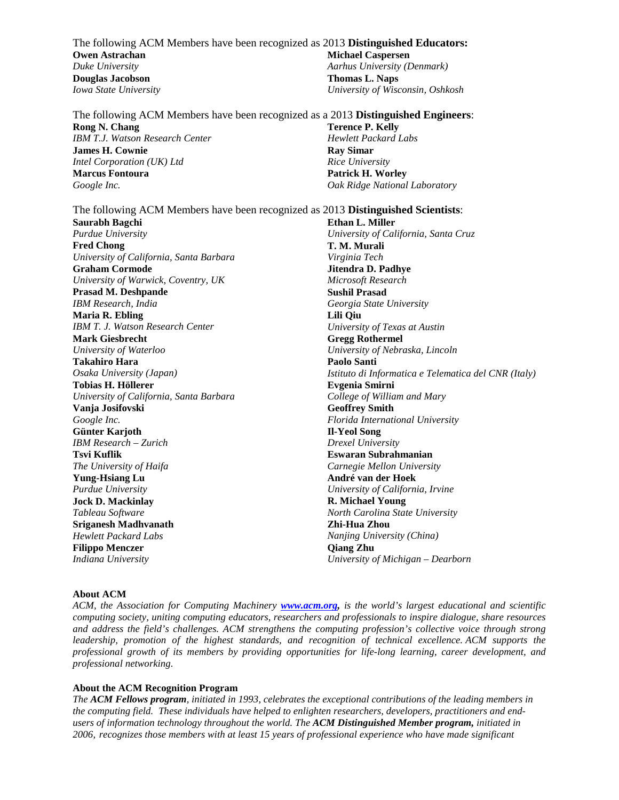The following ACM Members have been recognized as 2013 **Distinguished Educators: Owen Astrachan**  *Duke University* **Michael Caspersen**  *Aarhus University (Denmark)* **Douglas Jacobson**  *Iowa State University* **Thomas L. Naps** *University of Wisconsin, Oshkosh*

The following ACM Members have been recognized as a 2013 **Distinguished Engineers**: **Rong N. Chang** *IBM T.J. Watson Research Center* **James H. Cownie**  *Intel Corporation (UK) Ltd* **Marcus Fontoura**  *Google Inc.* **Terence P. Kelly**  *Hewlett Packard Labs* **Ray Simar**  *Rice University* **Patrick H. Worley**  *Oak Ridge National Laboratory*

The following ACM Members have been recognized as 2013 **Distinguished Scientists**: **Saurabh Bagchi**  *Purdue University* **Fred Chong**  *University of California, Santa Barbara* **Graham Cormode**  *University of Warwick, Coventry, UK* **Prasad M. Deshpande** *IBM Research, India* **Maria R. Ebling** *IBM T. J. Watson Research Center* **Mark Giesbrecht**  *University of Waterloo* **Takahiro Hara**  *Osaka University (Japan)* **Tobias H. Höllerer** *University of California, Santa Barbara* **Vanja Josifovski**  *Google Inc.* **Günter Karjoth** *IBM Research – Zurich* **Tsvi Kuflik**  *The University of Haifa* **Yung-Hsiang Lu**  *Purdue University* **Jock D. Mackinlay** *Tableau Software* **Sriganesh Madhvanath** *Hewlett Packard Labs*  **Filippo Menczer**  *Indiana University* **Ethan L. Miller**  *University of California, Santa Cruz* **T. M. Murali**  *Virginia Tech* **Jitendra D. Padhye**  *Microsoft Research* **Sushil Prasad** *Georgia State University* **Lili Qiu** *University of Texas at Austin* **Gregg Rothermel**  *University of Nebraska, Lincoln* **Paolo Santi**  *Istituto di Informatica e Telematica del CNR (Italy)* **Evgenia Smirni** *College of William and Mary* **Geoffrey Smith** *Florida International University* **Il-Yeol Song**  *Drexel University* **Eswaran Subrahmanian**  *Carnegie Mellon University* **André van der Hoek**  *University of California, Irvine* **R. Michael Young** *North Carolina State University* **Zhi-Hua Zhou**  *Nanjing University (China)* **Qiang Zhu**  *University of Michigan – Dearborn*

## **About ACM**

*ACM, the Association for Computing Machinery [www.acm.org,](http://www.acm.org/) is the world's largest educational and scientific computing society, uniting computing educators, researchers and professionals to inspire dialogue, share resources and address the field's challenges. ACM strengthens the computing profession's collective voice through strong leadership, promotion of the highest standards, and recognition of technical excellence. ACM supports the professional growth of its members by providing opportunities for life-long learning, career development, and professional networking.* 

## **About the ACM Recognition Program**

*The ACM Fellows program, initiated in 1993, celebrates the exceptional contributions of the leading members in the computing field. These individuals have helped to enlighten researchers, developers, practitioners and endusers of information technology throughout the world. The ACM Distinguished Member program, initiated in 2006, recognizes those members with at least 15 years of professional experience who have made significant*